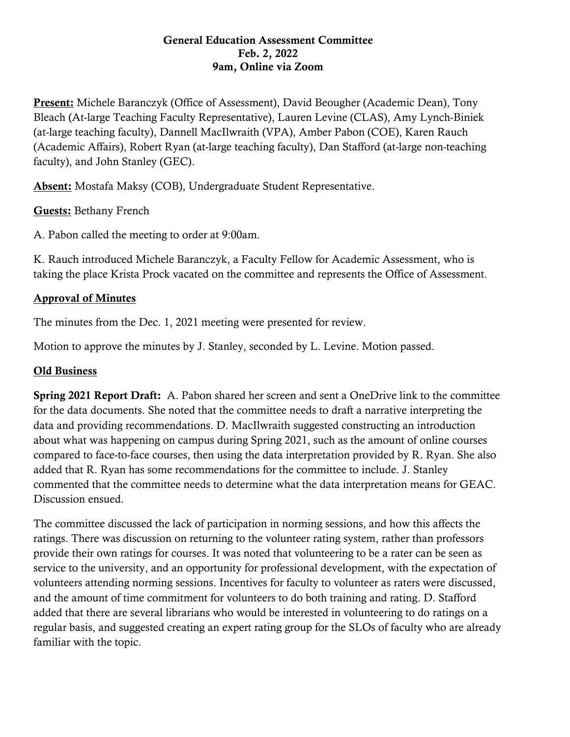#### General Education Assessment Committee Feb. 2, 2022 9am, Online via Zoom

Present: Michele Baranczyk (Office of Assessment), David Beougher (Academic Dean), Tony Bleach (At-large Teaching Faculty Representative), Lauren Levine (CLAS), Amy Lynch-Biniek (at-large teaching faculty), Dannell MacIlwraith (VPA), Amber Pabon (COE), Karen Rauch (Academic Affairs), Robert Ryan (at-large teaching faculty), Dan Stafford (at-large non-teaching faculty), and John Stanley (GEC).

Absent: Mostafa Maksy (COB), Undergraduate Student Representative.

## Guests: Bethany French

A. Pabon called the meeting to order at 9:00am.

K. Rauch introduced Michele Baranczyk, a Faculty Fellow for Academic Assessment, who is taking the place Krista Prock vacated on the committee and represents the Office of Assessment.

# Approval of Minutes

The minutes from the Dec. 1, 2021 meeting were presented for review.

Motion to approve the minutes by J. Stanley, seconded by L. Levine. Motion passed.

# Old Business

Spring 2021 Report Draft: A. Pabon shared her screen and sent a OneDrive link to the committee for the data documents. She noted that the committee needs to draft a narrative interpreting the data and providing recommendations. D. MacIlwraith suggested constructing an introduction about what was happening on campus during Spring 2021, such as the amount of online courses compared to face-to-face courses, then using the data interpretation provided by R. Ryan. She also added that R. Ryan has some recommendations for the committee to include. J. Stanley commented that the committee needs to determine what the data interpretation means for GEAC. Discussion ensued.

The committee discussed the lack of participation in norming sessions, and how this affects the ratings. There was discussion on returning to the volunteer rating system, rather than professors provide their own ratings for courses. It was noted that volunteering to be a rater can be seen as service to the university, and an opportunity for professional development, with the expectation of volunteers attending norming sessions. Incentives for faculty to volunteer as raters were discussed, and the amount of time commitment for volunteers to do both training and rating. D. Stafford added that there are several librarians who would be interested in volunteering to do ratings on a regular basis, and suggested creating an expert rating group for the SLOs of faculty who are already familiar with the topic.